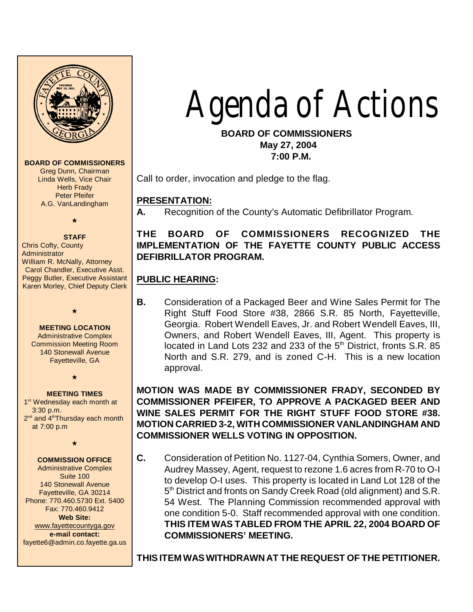

**BOARD OF COMMISSIONERS**

Greg Dunn, Chairman Linda Wells, Vice Chair **Herb Frady** Peter Pfeifer A.G. VanLandingham

# $\bigstar$

**STAFF** Chris Cofty, County **Administrator** William R. McNally, Attorney Carol Chandler, Executive Asst. Peggy Butler, Executive Assistant Karen Morley, Chief Deputy Clerk

#### **MEETING LOCATION**

 $\star$ 

Administrative Complex Commission Meeting Room 140 Stonewall Avenue Fayetteville, GA

 $\star$ 

#### **MEETING TIMES**

1<sup>st</sup> Wednesday each month at 3:30 p.m.  $2<sup>nd</sup>$  and  $4<sup>th</sup>$ Thursdav each month at 7:00 p.m

 $\star$ 

#### **COMMISSION OFFICE**

Administrative Complex Suite 100 140 Stonewall Avenue Fayetteville, GA 30214 Phone: 770.460.5730 Ext. 5400 Fax: 770.460.9412 **Web Site:** [www.fayettecountyga.gov](http://www.admin.co.fayette.ga.us) **e-mail contact:** fayette6@admin.co.fayette.ga.us

# *Agenda* of Actions

# **BOARD OF COMMISSIONERS May 27, 2004**

 **7:00 P.M.**

Call to order, invocation and pledge to the flag.

# **PRESENTATION:**

**A.** Recognition of the County's Automatic Defibrillator Program.

# **THE BOARD OF COMMISSIONERS RECOGNIZED THE IMPLEMENTATION OF THE FAYETTE COUNTY PUBLIC ACCESS DEFIBRILLATOR PROGRAM.**

# **PUBLIC HEARING:**

**B.** Consideration of a Packaged Beer and Wine Sales Permit for The Right Stuff Food Store #38, 2866 S.R. 85 North, Fayetteville, Georgia. Robert Wendell Eaves, Jr. and Robert Wendell Eaves, III, Owners, and Robert Wendell Eaves, III, Agent. This property is located in Land Lots 232 and 233 of the 5<sup>th</sup> District, fronts S.R. 85 North and S.R. 279, and is zoned C-H. This is a new location approval.

# **MOTION WAS MADE BY COMMISSIONER FRADY, SECONDED BY COMMISSIONER PFEIFER, TO APPROVE A PACKAGED BEER AND WINE SALES PERMIT FOR THE RIGHT STUFF FOOD STORE #38. MOTION CARRIED 3-2, WITH COMMISSIONER VANLANDINGHAM AND COMMISSIONER WELLS VOTING IN OPPOSITION.**

**C.** Consideration of Petition No. 1127-04, Cynthia Somers, Owner, and Audrey Massey, Agent, request to rezone 1.6 acres from R-70 to O-I to develop O-I uses. This property is located in Land Lot 128 of the 5<sup>th</sup> District and fronts on Sandy Creek Road (old alignment) and S.R. 54 West. The Planning Commission recommended approval with one condition 5-0. Staff recommended approval with one condition. **THIS ITEM WAS TABLED FROM THE APRIL 22, 2004 BOARD OF COMMISSIONERS' MEETING.**

**THIS ITEM WAS WITHDRAWN AT THE REQUEST OF THE PETITIONER.**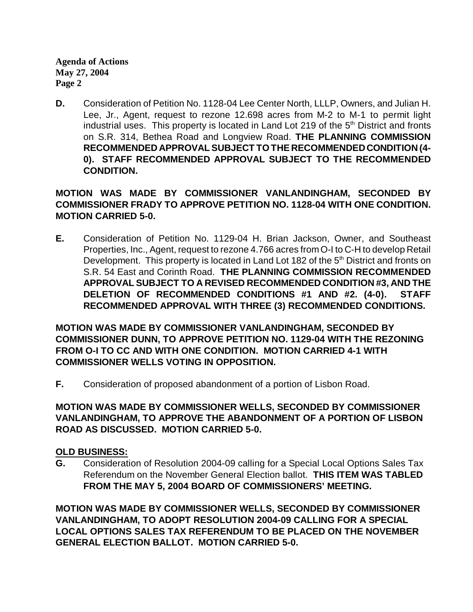**D.** Consideration of Petition No. 1128-04 Lee Center North, LLLP, Owners, and Julian H. Lee, Jr., Agent, request to rezone 12.698 acres from M-2 to M-1 to permit light industrial uses. This property is located in Land Lot 219 of the  $5<sup>th</sup>$  District and fronts on S.R. 314, Bethea Road and Longview Road. **THE PLANNING COMMISSION RECOMMENDED APPROVAL SUBJECT TO THE RECOMMENDEDCONDITION (4- 0). STAFF RECOMMENDED APPROVAL SUBJECT TO THE RECOMMENDED CONDITION.**

**MOTION WAS MADE BY COMMISSIONER VANLANDINGHAM, SECONDED BY COMMISSIONER FRADY TO APPROVE PETITION NO. 1128-04 WITH ONE CONDITION. MOTION CARRIED 5-0.**

**E.** Consideration of Petition No. 1129-04 H. Brian Jackson, Owner, and Southeast Properties, Inc., Agent, request to rezone 4.766 acres from O-I to C-H to develop Retail Development. This property is located in Land Lot 182 of the  $5<sup>th</sup>$  District and fronts on S.R. 54 East and Corinth Road. **THE PLANNING COMMISSION RECOMMENDED APPROVAL SUBJECT TO A REVISED RECOMMENDED CONDITION #3, AND THE DELETION OF RECOMMENDED CONDITIONS #1 AND #2. (4-0). STAFF RECOMMENDED APPROVAL WITH THREE (3) RECOMMENDED CONDITIONS.**

**MOTION WAS MADE BY COMMISSIONER VANLANDINGHAM, SECONDED BY COMMISSIONER DUNN, TO APPROVE PETITION NO. 1129-04 WITH THE REZONING FROM O-I TO CC AND WITH ONE CONDITION. MOTION CARRIED 4-1 WITH COMMISSIONER WELLS VOTING IN OPPOSITION.**

**F.** Consideration of proposed abandonment of a portion of Lisbon Road.

# **MOTION WAS MADE BY COMMISSIONER WELLS, SECONDED BY COMMISSIONER VANLANDINGHAM, TO APPROVE THE ABANDONMENT OF A PORTION OF LISBON ROAD AS DISCUSSED. MOTION CARRIED 5-0.**

#### **OLD BUSINESS:**

**G.** Consideration of Resolution 2004-09 calling for a Special Local Options Sales Tax Referendum on the November General Election ballot. **THIS ITEM WAS TABLED FROM THE MAY 5, 2004 BOARD OF COMMISSIONERS' MEETING.**

**MOTION WAS MADE BY COMMISSIONER WELLS, SECONDED BY COMMISSIONER VANLANDINGHAM, TO ADOPT RESOLUTION 2004-09 CALLING FOR A SPECIAL LOCAL OPTIONS SALES TAX REFERENDUM TO BE PLACED ON THE NOVEMBER GENERAL ELECTION BALLOT. MOTION CARRIED 5-0.**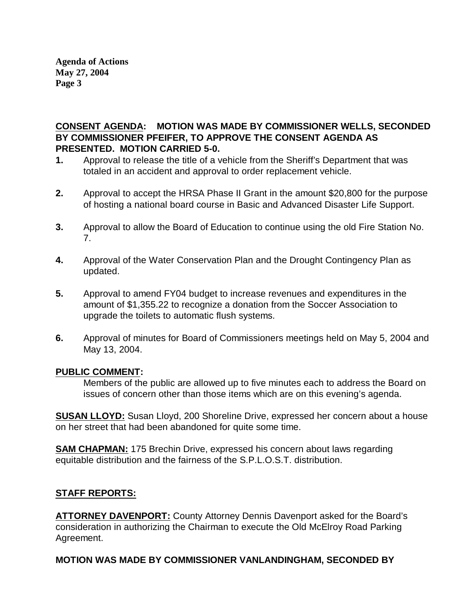**CONSENT AGENDA: MOTION WAS MADE BY COMMISSIONER WELLS, SECONDED BY COMMISSIONER PFEIFER, TO APPROVE THE CONSENT AGENDA AS PRESENTED. MOTION CARRIED 5-0.**

- **1.** Approval to release the title of a vehicle from the Sheriff's Department that was totaled in an accident and approval to order replacement vehicle.
- **2.** Approval to accept the HRSA Phase II Grant in the amount \$20,800 for the purpose of hosting a national board course in Basic and Advanced Disaster Life Support.
- **3.** Approval to allow the Board of Education to continue using the old Fire Station No. 7.
- **4.** Approval of the Water Conservation Plan and the Drought Contingency Plan as updated.
- **5.** Approval to amend FY04 budget to increase revenues and expenditures in the amount of \$1,355.22 to recognize a donation from the Soccer Association to upgrade the toilets to automatic flush systems.
- **6.** Approval of minutes for Board of Commissioners meetings held on May 5, 2004 and May 13, 2004.

#### **PUBLIC COMMENT:**

Members of the public are allowed up to five minutes each to address the Board on issues of concern other than those items which are on this evening's agenda.

**SUSAN LLOYD:** Susan Lloyd, 200 Shoreline Drive, expressed her concern about a house on her street that had been abandoned for quite some time.

**SAM CHAPMAN:** 175 Brechin Drive, expressed his concern about laws regarding equitable distribution and the fairness of the S.P.L.O.S.T. distribution.

# **STAFF REPORTS:**

**ATTORNEY DAVENPORT:** County Attorney Dennis Davenport asked for the Board's consideration in authorizing the Chairman to execute the Old McElroy Road Parking Agreement.

# **MOTION WAS MADE BY COMMISSIONER VANLANDINGHAM, SECONDED BY**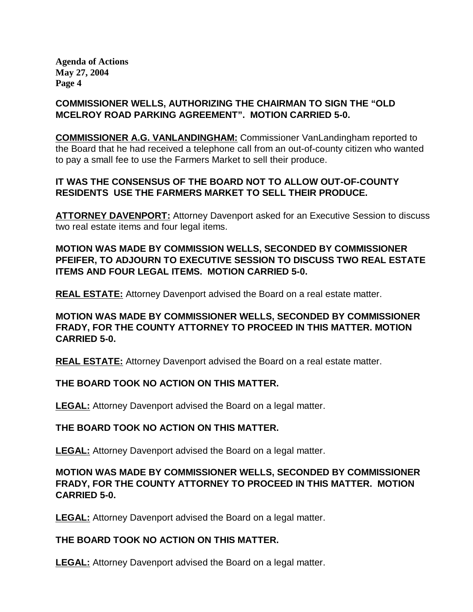# **COMMISSIONER WELLS, AUTHORIZING THE CHAIRMAN TO SIGN THE "OLD MCELROY ROAD PARKING AGREEMENT". MOTION CARRIED 5-0.**

**COMMISSIONER A.G. VANLANDINGHAM:** Commissioner VanLandingham reported to the Board that he had received a telephone call from an out-of-county citizen who wanted to pay a small fee to use the Farmers Market to sell their produce.

# **IT WAS THE CONSENSUS OF THE BOARD NOT TO ALLOW OUT-OF-COUNTY RESIDENTS USE THE FARMERS MARKET TO SELL THEIR PRODUCE.**

**ATTORNEY DAVENPORT:** Attorney Davenport asked for an Executive Session to discuss two real estate items and four legal items.

**MOTION WAS MADE BY COMMISSION WELLS, SECONDED BY COMMISSIONER PFEIFER, TO ADJOURN TO EXECUTIVE SESSION TO DISCUSS TWO REAL ESTATE ITEMS AND FOUR LEGAL ITEMS. MOTION CARRIED 5-0.**

**REAL ESTATE:** Attorney Davenport advised the Board on a real estate matter.

**MOTION WAS MADE BY COMMISSIONER WELLS, SECONDED BY COMMISSIONER FRADY, FOR THE COUNTY ATTORNEY TO PROCEED IN THIS MATTER. MOTION CARRIED 5-0.**

**REAL ESTATE:** Attorney Davenport advised the Board on a real estate matter.

**THE BOARD TOOK NO ACTION ON THIS MATTER.**

**LEGAL:** Attorney Davenport advised the Board on a legal matter.

#### **THE BOARD TOOK NO ACTION ON THIS MATTER.**

**LEGAL:** Attorney Davenport advised the Board on a legal matter.

# **MOTION WAS MADE BY COMMISSIONER WELLS, SECONDED BY COMMISSIONER FRADY, FOR THE COUNTY ATTORNEY TO PROCEED IN THIS MATTER. MOTION CARRIED 5-0.**

**LEGAL:** Attorney Davenport advised the Board on a legal matter.

# **THE BOARD TOOK NO ACTION ON THIS MATTER.**

**LEGAL:** Attorney Davenport advised the Board on a legal matter.